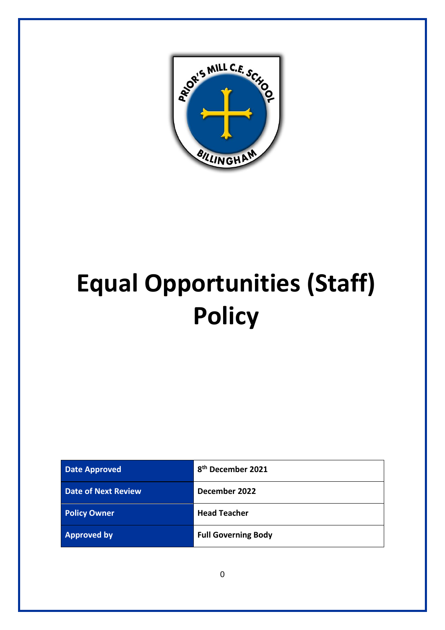

# **Equal Opportunities (Staff) Policy**

| <b>Date Approved</b>       | 8 <sup>th</sup> December 2021 |
|----------------------------|-------------------------------|
| <b>Date of Next Review</b> | December 2022                 |
| <b>Policy Owner</b>        | <b>Head Teacher</b>           |
| <b>Approved by</b>         | <b>Full Governing Body</b>    |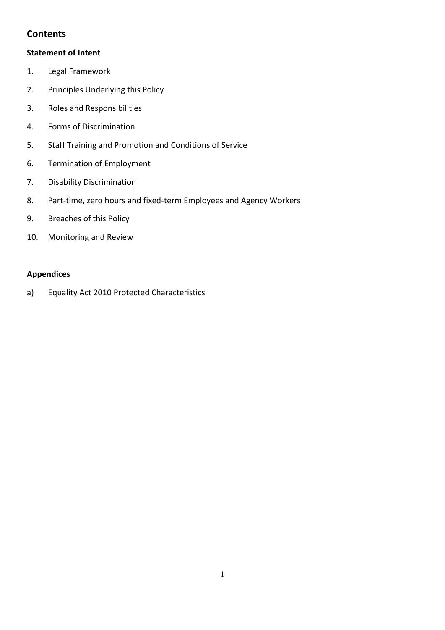# **Contents**

# **Statement of Intent**

- 1. Legal Framework
- 2. Principles Underlying this Policy
- 3. Roles and Responsibilities
- 4. Forms of Discrimination
- 5. Staff Training and Promotion and Conditions of Service
- 6. Termination of Employment
- 7. Disability Discrimination
- 8. Part-time, zero hours and fixed-term Employees and Agency Workers
- 9. Breaches of this Policy
- 10. Monitoring and Review

# **Appendices**

a) Equality Act 2010 Protected Characteristics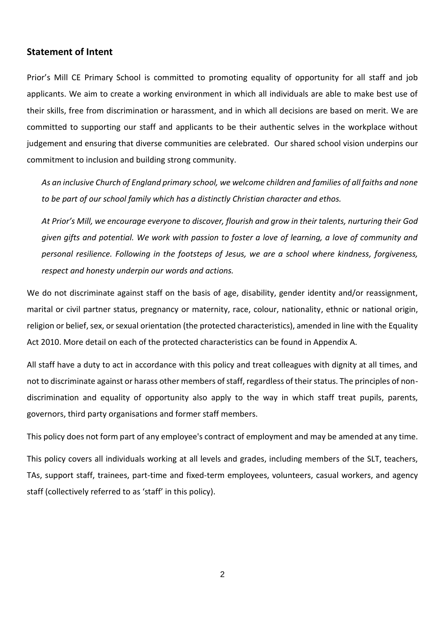#### **Statement of Intent**

Prior's Mill CE Primary School is committed to promoting equality of opportunity for all staff and job applicants. We aim to create a working environment in which all individuals are able to make best use of their skills, free from discrimination or harassment, and in which all decisions are based on merit. We are committed to supporting our staff and applicants to be their authentic selves in the workplace without judgement and ensuring that diverse communities are celebrated. Our shared school vision underpins our commitment to inclusion and building strong community.

*As an inclusive Church of England primary school, we welcome children and families of all faiths and none to be part of our school family which has a distinctly Christian character and ethos.* 

*At Prior's Mill, we encourage everyone to discover, flourish and grow in their talents, nurturing their God given gifts and potential. We work with passion to foster a love of learning, a love of community and personal resilience. Following in the footsteps of Jesus, we are a school where kindness, forgiveness, respect and honesty underpin our words and actions.*

We do not discriminate against staff on the basis of age, disability, gender identity and/or reassignment, marital or civil partner status, pregnancy or maternity, race, colour, nationality, ethnic or national origin, religion or belief, sex, or sexual orientation (the protected characteristics), amended in line with the Equality Act 2010. More detail on each of the protected characteristics can be found in Appendix A.

All staff have a duty to act in accordance with this policy and treat colleagues with dignity at all times, and not to discriminate against or harass other members of staff, regardless of their status. The principles of nondiscrimination and equality of opportunity also apply to the way in which staff treat pupils, parents, governors, third party organisations and former staff members.

This policy does not form part of any employee's contract of employment and may be amended at any time.

This policy covers all individuals working at all levels and grades, including members of the SLT, teachers, TAs, support staff, trainees, part-time and fixed-term employees, volunteers, casual workers, and agency staff (collectively referred to as 'staff' in this policy).

2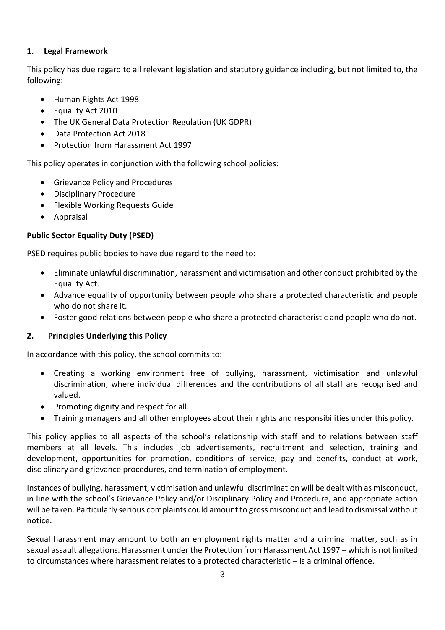# **1. Legal Framework**

This policy has due regard to all relevant legislation and statutory guidance including, but not limited to, the following:

- Human Rights Act 1998
- Equality Act 2010
- The UK General Data Protection Regulation (UK GDPR)
- Data Protection Act 2018
- Protection from Harassment Act 1997

This policy operates in conjunction with the following school policies:

- Grievance Policy and Procedures
- Disciplinary Procedure
- Flexible Working Requests Guide
- Appraisal

# **Public Sector Equality Duty (PSED)**

PSED requires public bodies to have due regard to the need to:

- Eliminate unlawful discrimination, harassment and victimisation and other conduct prohibited by the Equality Act.
- Advance equality of opportunity between people who share a protected characteristic and people who do not share it.
- Foster good relations between people who share a protected characteristic and people who do not.

# **2. Principles Underlying this Policy**

In accordance with this policy, the school commits to:

- Creating a working environment free of bullying, harassment, victimisation and unlawful discrimination, where individual differences and the contributions of all staff are recognised and valued.
- Promoting dignity and respect for all.
- Training managers and all other employees about their rights and responsibilities under this policy.

This policy applies to all aspects of the school's relationship with staff and to relations between staff members at all levels. This includes job advertisements, recruitment and selection, training and development, opportunities for promotion, conditions of service, pay and benefits, conduct at work, disciplinary and grievance procedures, and termination of employment.

Instances of bullying, harassment, victimisation and unlawful discrimination will be dealt with as misconduct, in line with the school's Grievance Policy and/or Disciplinary Policy and Procedure, and appropriate action will be taken. Particularly serious complaints could amount to gross misconduct and lead to dismissal without notice.

Sexual harassment may amount to both an employment rights matter and a criminal matter, such as in sexual assault allegations. Harassment under the Protection from Harassment Act 1997 – which is not limited to circumstances where harassment relates to a protected characteristic – is a criminal offence.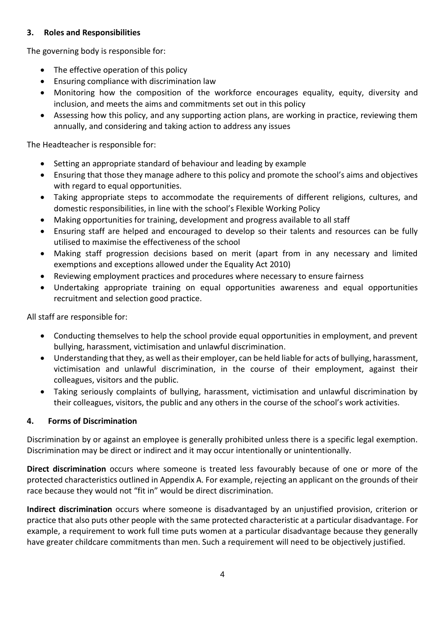# **3. Roles and Responsibilities**

The governing body is responsible for:

- The effective operation of this policy
- Ensuring compliance with discrimination law
- Monitoring how the composition of the workforce encourages equality, equity, diversity and inclusion, and meets the aims and commitments set out in this policy
- Assessing how this policy, and any supporting action plans, are working in practice, reviewing them annually, and considering and taking action to address any issues

The Headteacher is responsible for:

- Setting an appropriate standard of behaviour and leading by example
- Ensuring that those they manage adhere to this policy and promote the school's aims and objectives with regard to equal opportunities.
- Taking appropriate steps to accommodate the requirements of different religions, cultures, and domestic responsibilities, in line with the school's Flexible Working Policy
- Making opportunities for training, development and progress available to all staff
- Ensuring staff are helped and encouraged to develop so their talents and resources can be fully utilised to maximise the effectiveness of the school
- Making staff progression decisions based on merit (apart from in any necessary and limited exemptions and exceptions allowed under the Equality Act 2010)
- Reviewing employment practices and procedures where necessary to ensure fairness
- Undertaking appropriate training on equal opportunities awareness and equal opportunities recruitment and selection good practice.

All staff are responsible for:

- Conducting themselves to help the school provide equal opportunities in employment, and prevent bullying, harassment, victimisation and unlawful discrimination.
- Understanding that they, as well as their employer, can be held liable for acts of bullying, harassment, victimisation and unlawful discrimination, in the course of their employment, against their colleagues, visitors and the public.
- Taking seriously complaints of bullying, harassment, victimisation and unlawful discrimination by their colleagues, visitors, the public and any others in the course of the school's work activities.

# **4. Forms of Discrimination**

Discrimination by or against an employee is generally prohibited unless there is a specific legal exemption. Discrimination may be direct or indirect and it may occur intentionally or unintentionally.

**Direct discrimination** occurs where someone is treated less favourably because of one or more of the protected characteristics outlined in Appendix A. For example, rejecting an applicant on the grounds of their race because they would not "fit in" would be direct discrimination.

**Indirect discrimination** occurs where someone is disadvantaged by an unjustified provision, criterion or practice that also puts other people with the same protected characteristic at a particular disadvantage. For example, a requirement to work full time puts women at a particular disadvantage because they generally have greater childcare commitments than men. Such a requirement will need to be objectively justified.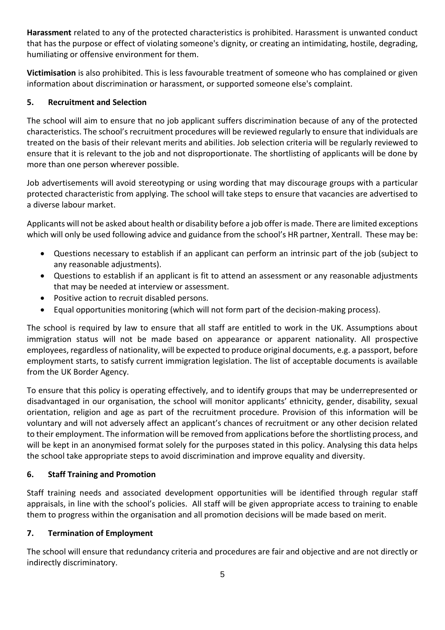**Harassment** related to any of the protected characteristics is prohibited. Harassment is unwanted conduct that has the purpose or effect of violating someone's dignity, or creating an intimidating, hostile, degrading, humiliating or offensive environment for them.

**Victimisation** is also prohibited. This is less favourable treatment of someone who has complained or given information about discrimination or harassment, or supported someone else's complaint.

# **5. Recruitment and Selection**

The school will aim to ensure that no job applicant suffers discrimination because of any of the protected characteristics. The school's recruitment procedures will be reviewed regularly to ensure that individuals are treated on the basis of their relevant merits and abilities. Job selection criteria will be regularly reviewed to ensure that it is relevant to the job and not disproportionate. The shortlisting of applicants will be done by more than one person wherever possible.

Job advertisements will avoid stereotyping or using wording that may discourage groups with a particular protected characteristic from applying. The school will take steps to ensure that vacancies are advertised to a diverse labour market.

Applicants will not be asked about health or disability before a job offer is made. There are limited exceptions which will only be used following advice and guidance from the school's HR partner, Xentrall. These may be:

- Questions necessary to establish if an applicant can perform an intrinsic part of the job (subject to any reasonable adjustments).
- Questions to establish if an applicant is fit to attend an assessment or any reasonable adjustments that may be needed at interview or assessment.
- Positive action to recruit disabled persons.
- Equal opportunities monitoring (which will not form part of the decision-making process).

The school is required by law to ensure that all staff are entitled to work in the UK. Assumptions about immigration status will not be made based on appearance or apparent nationality. All prospective employees, regardless of nationality, will be expected to produce original documents, e.g. a passport, before employment starts, to satisfy current immigration legislation. The list of acceptable documents is available from the UK Border Agency.

To ensure that this policy is operating effectively, and to identify groups that may be underrepresented or disadvantaged in our organisation, the school will monitor applicants' ethnicity, gender, disability, sexual orientation, religion and age as part of the recruitment procedure. Provision of this information will be voluntary and will not adversely affect an applicant's chances of recruitment or any other decision related to their employment. The information will be removed from applications before the shortlisting process, and will be kept in an anonymised format solely for the purposes stated in this policy. Analysing this data helps the school take appropriate steps to avoid discrimination and improve equality and diversity.

# **6. Staff Training and Promotion**

Staff training needs and associated development opportunities will be identified through regular staff appraisals, in line with the school's policies. All staff will be given appropriate access to training to enable them to progress within the organisation and all promotion decisions will be made based on merit.

# **7. Termination of Employment**

The school will ensure that redundancy criteria and procedures are fair and objective and are not directly or indirectly discriminatory.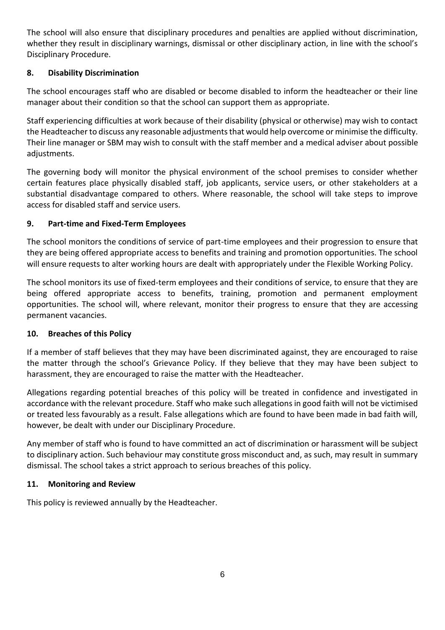The school will also ensure that disciplinary procedures and penalties are applied without discrimination, whether they result in disciplinary warnings, dismissal or other disciplinary action, in line with the school's Disciplinary Procedure.

# **8. Disability Discrimination**

The school encourages staff who are disabled or become disabled to inform the headteacher or their line manager about their condition so that the school can support them as appropriate.

Staff experiencing difficulties at work because of their disability (physical or otherwise) may wish to contact the Headteacher to discuss any reasonable adjustments that would help overcome or minimise the difficulty. Their line manager or SBM may wish to consult with the staff member and a medical adviser about possible adjustments.

The governing body will monitor the physical environment of the school premises to consider whether certain features place physically disabled staff, job applicants, service users, or other stakeholders at a substantial disadvantage compared to others. Where reasonable, the school will take steps to improve access for disabled staff and service users.

# **9. Part-time and Fixed-Term Employees**

The school monitors the conditions of service of part-time employees and their progression to ensure that they are being offered appropriate access to benefits and training and promotion opportunities. The school will ensure requests to alter working hours are dealt with appropriately under the Flexible Working Policy.

The school monitors its use of fixed-term employees and their conditions of service, to ensure that they are being offered appropriate access to benefits, training, promotion and permanent employment opportunities. The school will, where relevant, monitor their progress to ensure that they are accessing permanent vacancies.

# **10. Breaches of this Policy**

If a member of staff believes that they may have been discriminated against, they are encouraged to raise the matter through the school's Grievance Policy. If they believe that they may have been subject to harassment, they are encouraged to raise the matter with the Headteacher.

Allegations regarding potential breaches of this policy will be treated in confidence and investigated in accordance with the relevant procedure. Staff who make such allegations in good faith will not be victimised or treated less favourably as a result. False allegations which are found to have been made in bad faith will, however, be dealt with under our Disciplinary Procedure.

Any member of staff who is found to have committed an act of discrimination or harassment will be subject to disciplinary action. Such behaviour may constitute gross misconduct and, as such, may result in summary dismissal. The school takes a strict approach to serious breaches of this policy.

# **11. Monitoring and Review**

This policy is reviewed annually by the Headteacher.